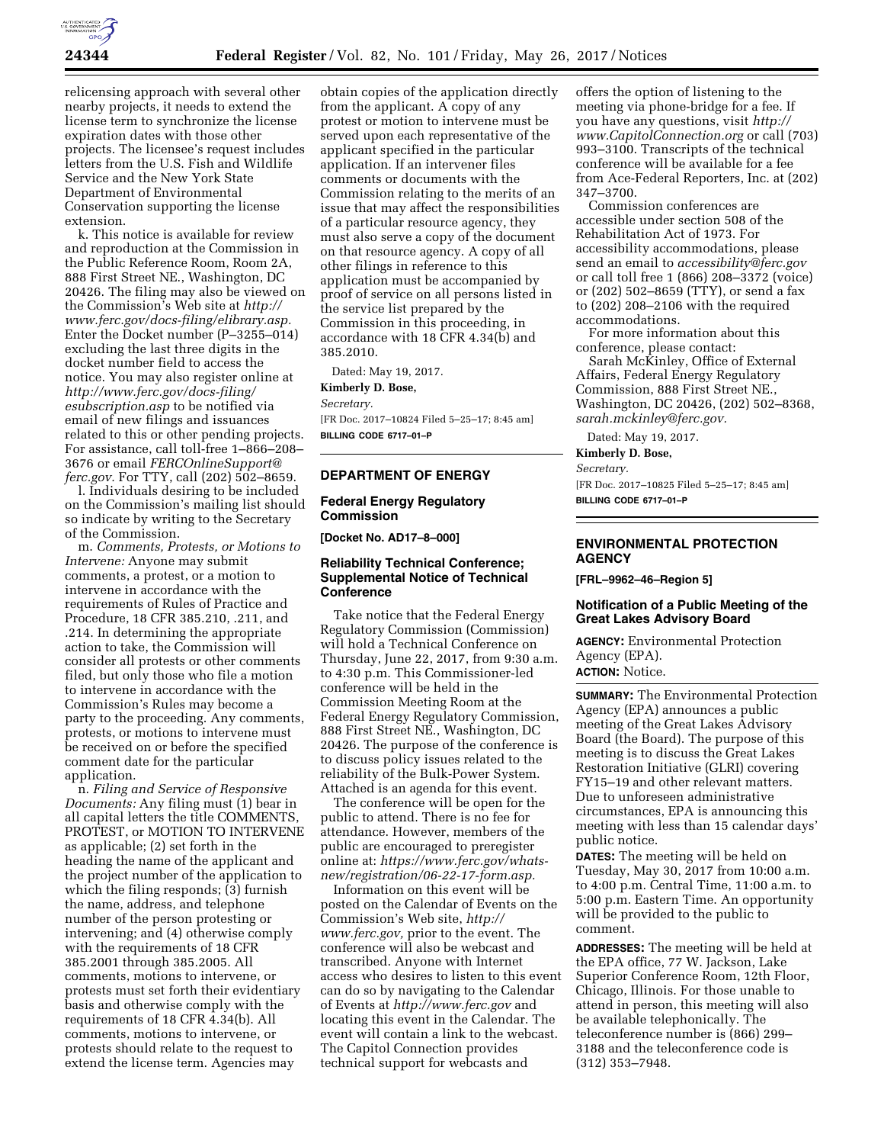

relicensing approach with several other nearby projects, it needs to extend the license term to synchronize the license expiration dates with those other projects. The licensee's request includes letters from the U.S. Fish and Wildlife Service and the New York State Department of Environmental Conservation supporting the license extension.

k. This notice is available for review and reproduction at the Commission in the Public Reference Room, Room 2A, 888 First Street NE., Washington, DC 20426. The filing may also be viewed on the Commission's Web site at *[http://](http://www.ferc.gov/docs-filing/elibrary.asp) [www.ferc.gov/docs-filing/elibrary.asp.](http://www.ferc.gov/docs-filing/elibrary.asp)*  Enter the Docket number (P–3255–014) excluding the last three digits in the docket number field to access the notice. You may also register online at *[http://www.ferc.gov/docs-filing/](http://www.ferc.gov/docs-filing/esubscription.asp) [esubscription.asp](http://www.ferc.gov/docs-filing/esubscription.asp)* to be notified via email of new filings and issuances related to this or other pending projects. For assistance, call toll-free 1–866–208– 3676 or email *[FERCOnlineSupport@](mailto:FERCOnlineSupport@ferc.gov) [ferc.gov.](mailto:FERCOnlineSupport@ferc.gov)* For TTY, call (202) 502–8659.

l. Individuals desiring to be included on the Commission's mailing list should so indicate by writing to the Secretary of the Commission.

m. *Comments, Protests, or Motions to Intervene:* Anyone may submit comments, a protest, or a motion to intervene in accordance with the requirements of Rules of Practice and Procedure, 18 CFR 385.210, .211, and .214. In determining the appropriate action to take, the Commission will consider all protests or other comments filed, but only those who file a motion to intervene in accordance with the Commission's Rules may become a party to the proceeding. Any comments, protests, or motions to intervene must be received on or before the specified comment date for the particular application.

n. *Filing and Service of Responsive Documents:* Any filing must (1) bear in all capital letters the title COMMENTS, PROTEST, or MOTION TO INTERVENE as applicable; (2) set forth in the heading the name of the applicant and the project number of the application to which the filing responds; (3) furnish the name, address, and telephone number of the person protesting or intervening; and (4) otherwise comply with the requirements of 18 CFR 385.2001 through 385.2005. All comments, motions to intervene, or protests must set forth their evidentiary basis and otherwise comply with the requirements of 18 CFR 4.34(b). All comments, motions to intervene, or protests should relate to the request to extend the license term. Agencies may

obtain copies of the application directly from the applicant. A copy of any protest or motion to intervene must be served upon each representative of the applicant specified in the particular application. If an intervener files comments or documents with the Commission relating to the merits of an issue that may affect the responsibilities of a particular resource agency, they must also serve a copy of the document on that resource agency. A copy of all other filings in reference to this application must be accompanied by proof of service on all persons listed in the service list prepared by the Commission in this proceeding, in accordance with 18 CFR 4.34(b) and 385.2010.

Dated: May 19, 2017.

**Kimberly D. Bose,** 

*Secretary.* 

[FR Doc. 2017–10824 Filed 5–25–17; 8:45 am] **BILLING CODE 6717–01–P** 

# **DEPARTMENT OF ENERGY**

#### **Federal Energy Regulatory Commission**

**[Docket No. AD17–8–000]** 

# **Reliability Technical Conference; Supplemental Notice of Technical Conference**

Take notice that the Federal Energy Regulatory Commission (Commission) will hold a Technical Conference on Thursday, June 22, 2017, from 9:30 a.m. to 4:30 p.m. This Commissioner-led conference will be held in the Commission Meeting Room at the Federal Energy Regulatory Commission, 888 First Street NE., Washington, DC 20426. The purpose of the conference is to discuss policy issues related to the reliability of the Bulk-Power System. Attached is an agenda for this event.

The conference will be open for the public to attend. There is no fee for attendance. However, members of the public are encouraged to preregister online at: *[https://www.ferc.gov/whats](https://www.ferc.gov/whats-new/registration/06-22-17-form.asp)[new/registration/06-22-17-form.asp.](https://www.ferc.gov/whats-new/registration/06-22-17-form.asp)* 

Information on this event will be posted on the Calendar of Events on the Commission's Web site, *[http://](http://www.ferc.gov) [www.ferc.gov,](http://www.ferc.gov)* prior to the event. The conference will also be webcast and transcribed. Anyone with Internet access who desires to listen to this event can do so by navigating to the Calendar of Events at *<http://www.ferc.gov>* and locating this event in the Calendar. The event will contain a link to the webcast. The Capitol Connection provides technical support for webcasts and

offers the option of listening to the meeting via phone-bridge for a fee. If you have any questions, visit *[http://](http://www.CapitolConnection.org) [www.CapitolConnection.org](http://www.CapitolConnection.org)* or call (703) 993–3100. Transcripts of the technical conference will be available for a fee from Ace-Federal Reporters, Inc. at (202) 347–3700.

Commission conferences are accessible under section 508 of the Rehabilitation Act of 1973. For accessibility accommodations, please send an email to *[accessibility@ferc.gov](mailto:accessibility@ferc.gov)*  or call toll free 1 (866) 208–3372 (voice) or (202) 502–8659 (TTY), or send a fax to (202) 208–2106 with the required accommodations.

For more information about this conference, please contact:

Sarah McKinley, Office of External Affairs, Federal Energy Regulatory Commission, 888 First Street NE., Washington, DC 20426, (202) 502–8368, *[sarah.mckinley@ferc.gov.](mailto:sarah.mckinley@ferc.gov)* 

Dated: May 19, 2017.

**Kimberly D. Bose,** 

*Secretary.* 

[FR Doc. 2017–10825 Filed 5–25–17; 8:45 am] **BILLING CODE 6717–01–P** 

### **ENVIRONMENTAL PROTECTION AGENCY**

**[FRL–9962–46–Region 5]** 

#### **Notification of a Public Meeting of the Great Lakes Advisory Board**

**AGENCY:** Environmental Protection Agency (EPA).

**ACTION:** Notice.

**SUMMARY:** The Environmental Protection Agency (EPA) announces a public meeting of the Great Lakes Advisory Board (the Board). The purpose of this meeting is to discuss the Great Lakes Restoration Initiative (GLRI) covering FY15–19 and other relevant matters. Due to unforeseen administrative circumstances, EPA is announcing this meeting with less than 15 calendar days' public notice.

**DATES:** The meeting will be held on Tuesday, May 30, 2017 from 10:00 a.m. to 4:00 p.m. Central Time, 11:00 a.m. to 5:00 p.m. Eastern Time. An opportunity will be provided to the public to comment.

**ADDRESSES:** The meeting will be held at the EPA office, 77 W. Jackson, Lake Superior Conference Room, 12th Floor, Chicago, Illinois. For those unable to attend in person, this meeting will also be available telephonically. The teleconference number is (866) 299– 3188 and the teleconference code is (312) 353–7948.